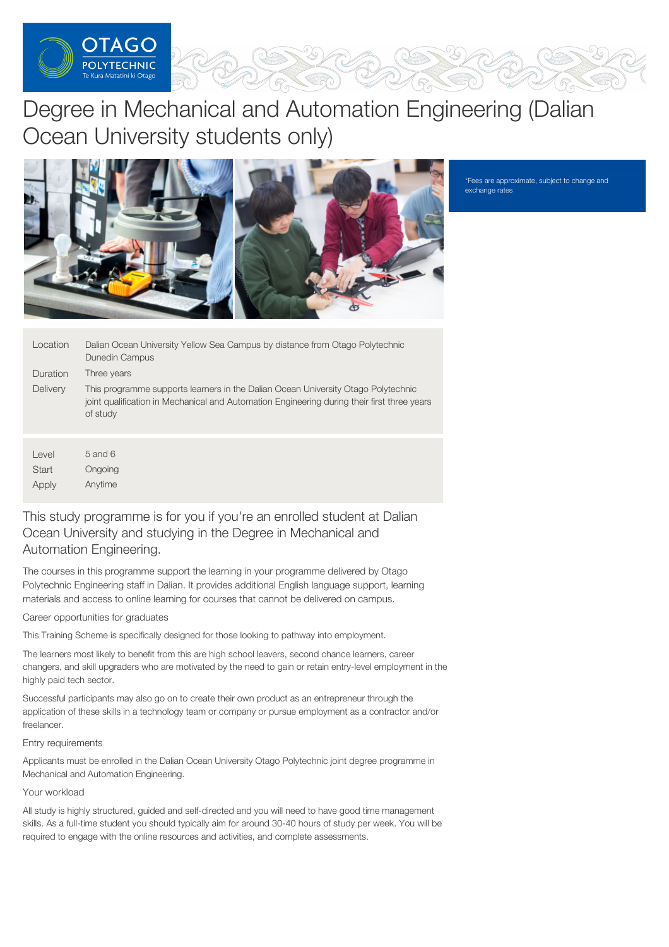

# Degree in Mechanical and Automation Engineering (Dalian Ocean University students only)



\*Fees are approximate, subject to change and exchange rates

| Location        | Dalian Ocean University Yellow Sea Campus by distance from Otago Polytechnic<br>Dunedin Campus                                                                                               |
|-----------------|----------------------------------------------------------------------------------------------------------------------------------------------------------------------------------------------|
| Duration        | Three years                                                                                                                                                                                  |
| <b>Delivery</b> | This programme supports learners in the Dalian Ocean University Otago Polytechnic<br>joint qualification in Mechanical and Automation Engineering during their first three years<br>of study |
|                 |                                                                                                                                                                                              |

Level **Start** Apply 5 and 6 Ongoing Anytime

## This study programme is for you if you're an enrolled student at Dalian Ocean University and studying in the Degree in Mechanical and Automation Engineering.

The courses in this programme support the learning in your programme delivered by Otago Polytechnic Engineering staff in Dalian. It provides additional English language support, learning materials and access to online learning for courses that cannot be delivered on campus.

## Career opportunities for graduates

This Training Scheme is specifically designed for those looking to pathway into employment.

The learners most likely to benefit from this are high school leavers, second chance learners, career changers, and skill upgraders who are motivated by the need to gain or retain entry-level employment in the highly paid tech sector.

Successful participants may also go on to create their own product as an entrepreneur through the application of these skills in a technology team or company or pursue employment as a contractor and/or freelancer.

## Entry requirements

Applicants must be enrolled in the Dalian Ocean University Otago Polytechnic joint degree programme in Mechanical and Automation Engineering.

## Your workload

All study is highly structured, guided and self-directed and you will need to have good time management skills. As a full-time student you should typically aim for around 30-40 hours of study per week. You will be required to engage with the online resources and activities, and complete assessments.